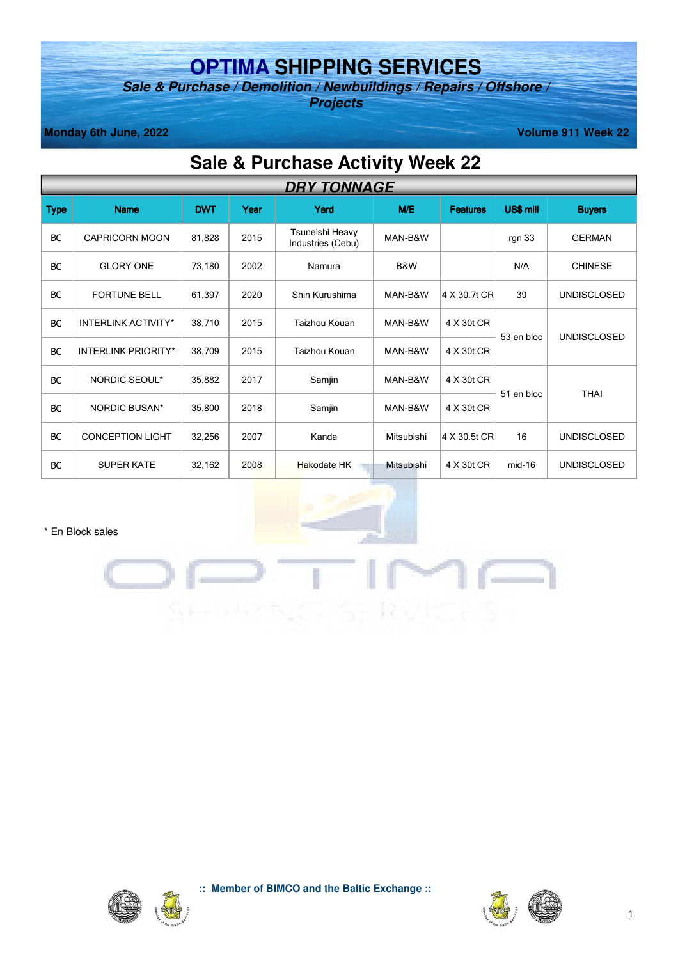# **OPTIMA SHIPPING SERVICES**

**Sale & Purchase / Demolition / Newbuildings / Repairs / Offshore / Projects** 

**Monday 6th June, 2022** Volume 911 Week 22

## **Sale & Purchase Activity Week 22**

|             | <b>DRY TONNAGE</b>         |            |      |                                      |            |                 |            |                    |
|-------------|----------------------------|------------|------|--------------------------------------|------------|-----------------|------------|--------------------|
| <b>Type</b> | <b>Name</b>                | <b>DWT</b> | Year | Yard                                 | M/E        | <b>Features</b> | US\$ mill  | <b>Buyers</b>      |
| <b>BC</b>   | <b>CAPRICORN MOON</b>      | 81,828     | 2015 | Tsuneishi Heavy<br>Industries (Cebu) | MAN-B&W    |                 | rgn 33     | <b>GERMAN</b>      |
| <b>BC</b>   | <b>GLORY ONE</b>           | 73,180     | 2002 | Namura                               | B&W        |                 | N/A        | <b>CHINESE</b>     |
| <b>BC</b>   | <b>FORTUNE BELL</b>        | 61,397     | 2020 | Shin Kurushima                       | MAN-B&W    | 4 X 30.7t CR    | 39         | <b>UNDISCLOSED</b> |
| <b>BC</b>   | <b>INTERLINK ACTIVITY*</b> | 38,710     | 2015 | Taizhou Kouan                        | MAN-B&W    | 4 X 30t CR      | 53 en bloc | <b>UNDISCLOSED</b> |
| <b>BC</b>   | <b>INTERLINK PRIORITY*</b> | 38,709     | 2015 | Taizhou Kouan                        | MAN-B&W    | 4 X 30t CR      |            |                    |
| <b>BC</b>   | <b>NORDIC SEOUL*</b>       | 35,882     | 2017 | Samjin                               | MAN-B&W    | 4 X 30t CR      |            |                    |
| <b>BC</b>   | <b>NORDIC BUSAN*</b>       | 35,800     | 2018 | Samjin                               | MAN-B&W    | 4 X 30t CR      | 51 en bloc | <b>THAI</b>        |
| <b>BC</b>   | <b>CONCEPTION LIGHT</b>    | 32,256     | 2007 | Kanda                                | Mitsubishi | 4 X 30.5t CR    | 16         | <b>UNDISCLOSED</b> |
| <b>BC</b>   | <b>SUPER KATE</b>          | 32,162     | 2008 | <b>Hakodate HK</b>                   | Mitsubishi | 4 X 30t CR      | $mid-16$   | <b>UNDISCLOSED</b> |

\* En Block sales





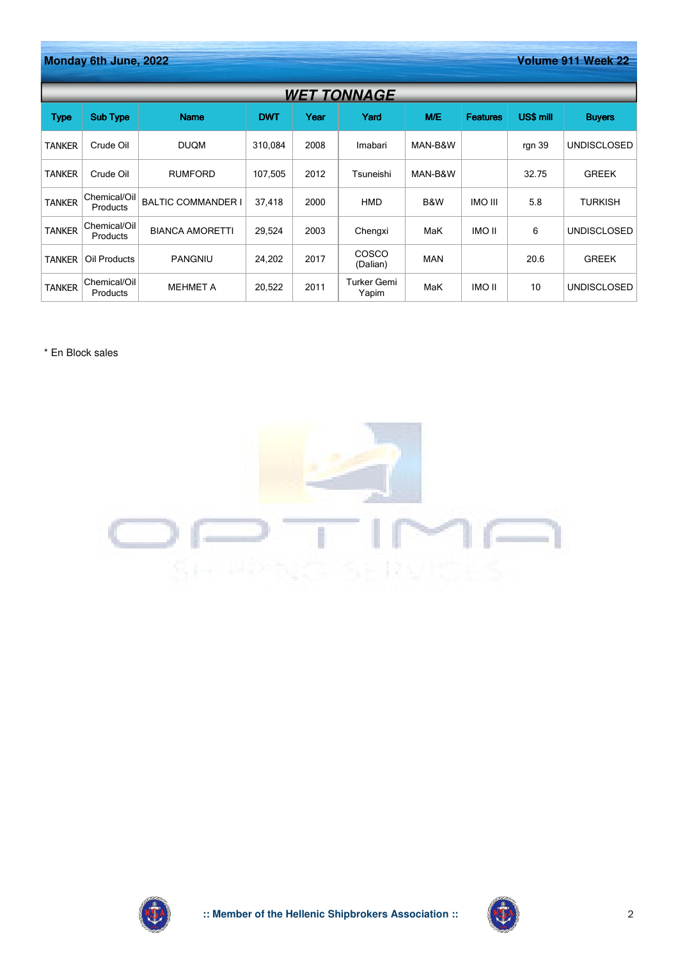|               | Monday 6th June, 2022<br>Volume 911 Week 22 |                           |            |      |                      |            |                 |           |                    |  |
|---------------|---------------------------------------------|---------------------------|------------|------|----------------------|------------|-----------------|-----------|--------------------|--|
|               | <b>WET TONNAGE</b>                          |                           |            |      |                      |            |                 |           |                    |  |
| <b>Type</b>   | <b>Sub Type</b>                             | <b>Name</b>               | <b>DWT</b> | Year | Yard                 | M/E        | <b>Features</b> | US\$ mill | <b>Buyers</b>      |  |
| <b>TANKER</b> | Crude Oil                                   | <b>DUQM</b>               | 310,084    | 2008 | Imabari              | MAN-B&W    |                 | rgn 39    | <b>UNDISCLOSED</b> |  |
| <b>TANKER</b> | Crude Oil                                   | <b>RUMFORD</b>            | 107,505    | 2012 | Tsuneishi            | MAN-B&W    |                 | 32.75     | <b>GREEK</b>       |  |
| <b>TANKER</b> | Chemical/Oil<br><b>Products</b>             | <b>BALTIC COMMANDER I</b> | 37,418     | 2000 | <b>HMD</b>           | B&W        | <b>INO III</b>  | 5.8       | <b>TURKISH</b>     |  |
| <b>TANKER</b> | Chemical/Oil<br><b>Products</b>             | <b>BIANCA AMORETTI</b>    | 29,524     | 2003 | Chengxi              | MaK        | <b>IMO II</b>   | 6         | <b>UNDISCLOSED</b> |  |
| <b>TANKER</b> | Oil Products                                | <b>PANGNIU</b>            | 24,202     | 2017 | COSCO<br>(Dalian)    | <b>MAN</b> |                 | 20.6      | <b>GREEK</b>       |  |
| <b>TANKER</b> | Chemical/Oil<br>Products                    | <b>MEHMET A</b>           | 20,522     | 2011 | Turker Gemi<br>Yapim | MaK        | <b>IMO II</b>   | 10        | <b>UNDISCLOSED</b> |  |

\* En Block sales





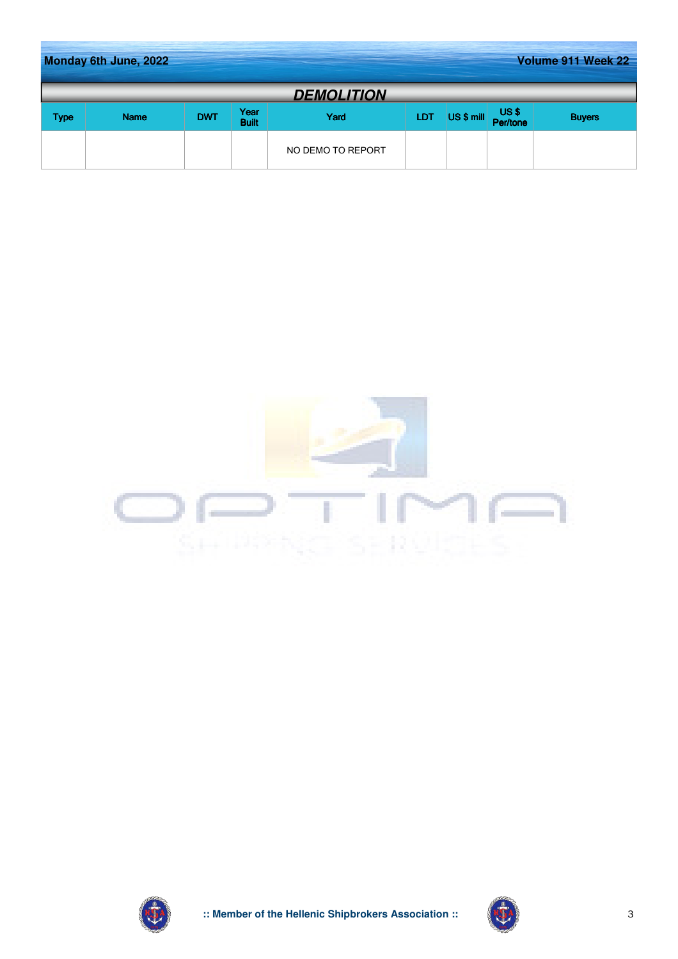|             | Volume 911 Week 22<br>Monday 6th June, 2022 |            |                      |                   |            |            |                  |               |
|-------------|---------------------------------------------|------------|----------------------|-------------------|------------|------------|------------------|---------------|
|             |                                             |            |                      | <b>DEMOLITION</b> |            |            |                  |               |
| <b>Type</b> | <b>Name</b>                                 | <b>DWT</b> | Year<br><b>Built</b> | Yard              | <b>LDT</b> | US \$ mill | US\$<br>Per/tone | <b>Buyers</b> |
|             |                                             |            |                      | NO DEMO TO REPORT |            |            |                  |               |





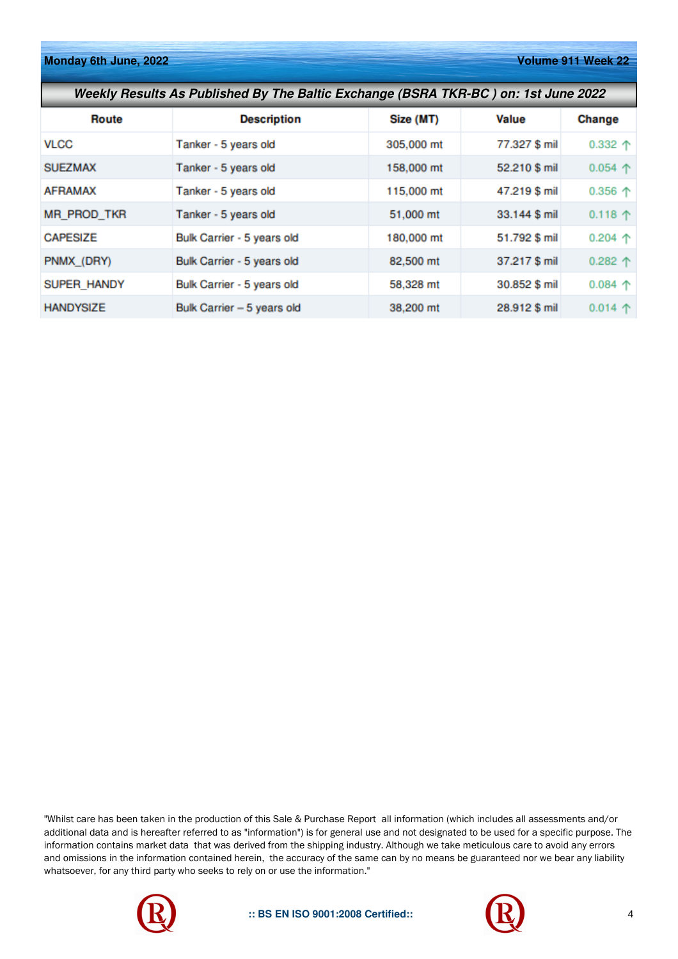**Monday 6th June, 2022 Volume 911 Week 22** 

| Weekly Results As Published By The Baltic Exchange (BSRA TKR-BC) on: 1st June 2022 |                            |            |               |                  |  |  |  |
|------------------------------------------------------------------------------------|----------------------------|------------|---------------|------------------|--|--|--|
| <b>Route</b>                                                                       | <b>Description</b>         | Size (MT)  | Value         | Change           |  |  |  |
| <b>VLCC</b>                                                                        | Tanker - 5 years old       | 305,000 mt | 77.327 \$ mil | $0.332$ 个        |  |  |  |
| <b>SUEZMAX</b>                                                                     | Tanker - 5 years old       | 158,000 mt | 52.210 \$ mil | 0.054 $\uparrow$ |  |  |  |
| <b>AFRAMAX</b>                                                                     | Tanker - 5 years old       | 115,000 mt | 47.219 \$ mil | $0.356$ 个        |  |  |  |
| <b>MR PROD TKR</b>                                                                 | Tanker - 5 years old       | 51,000 mt  | 33.144 \$ mil | $0.118$ 个        |  |  |  |
| <b>CAPESIZE</b>                                                                    | Bulk Carrier - 5 years old | 180,000 mt | 51.792 \$ mil | $0.204$ 个        |  |  |  |
| PNMX_(DRY)                                                                         | Bulk Carrier - 5 years old | 82,500 mt  | 37.217 \$ mil | $0.282$ 个        |  |  |  |
| SUPER HANDY                                                                        | Bulk Carrier - 5 years old | 58,328 mt  | 30.852 \$ mil | $0.084$ 个        |  |  |  |
| <b>HANDYSIZE</b>                                                                   | Bulk Carrier - 5 years old | 38,200 mt  | 28.912 \$ mil | $0.014$ 个        |  |  |  |

"Whilst care has been taken in the production of this Sale & Purchase Report all information (which includes all assessments and/or additional data and is hereafter referred to as "information") is for general use and not designated to be used for a specific purpose. The information contains market data that was derived from the shipping industry. Although we take meticulous care to avoid any errors and omissions in the information contained herein, the accuracy of the same can by no means be guaranteed nor we bear any liability whatsoever, for any third party who seeks to rely on or use the information."